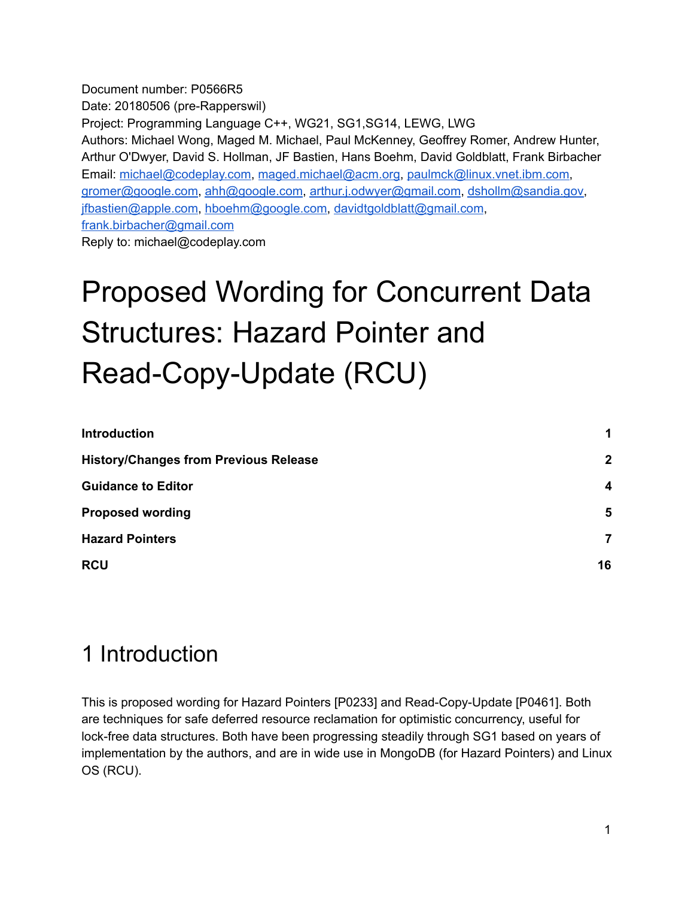Document number: P0566R5 Date: 20180506 (pre-Rapperswil) Project: Programming Language C++, WG21, SG1,SG14, LEWG, LWG Authors: Michael Wong, Maged M. Michael, Paul McKenney, Geoffrey Romer, Andrew Hunter, Arthur O'Dwyer, David S. Hollman, JF Bastien, Hans Boehm, David Goldblatt, Frank Birbacher Email: [michael@codeplay.com,](mailto:michael@codeplay.com) [maged.michael@acm.org](mailto:maged.michael@acm.org), [paulmck@linux.vnet.ibm.com](mailto:paulmck@linux.vnet.ibm.com), [gromer@google.com,](mailto:gromer@google.com) [ahh@google.com](mailto:ahh@google.com), [arthur.j.odwyer@gmail.com](mailto:arthur.j.odwyer@gmail.com), [dshollm@sandia.gov](mailto:dshollm@sandia.gov), [jfbastien@apple.com,](mailto:jfbastien@apple.com) [hboehm@google.com,](mailto:hboehm@google.com) [davidtgoldblatt@gmail.com,](mailto:davidtgoldblatt@gmail.com) [frank.birbacher@gmail.com](mailto:frank.birbacher@gmail.com) Reply to: michael@codeplay.com

# Proposed Wording for Concurrent Data Structures: Hazard Pointer and Read-Copy-Update (RCU)

| <b>Introduction</b>                          |                         |
|----------------------------------------------|-------------------------|
| <b>History/Changes from Previous Release</b> | $\mathbf{2}$            |
| <b>Guidance to Editor</b>                    | $\overline{\mathbf{4}}$ |
| <b>Proposed wording</b>                      | $5\phantom{1}$          |
| <b>Hazard Pointers</b>                       | 7                       |
| <b>RCU</b>                                   | 16                      |

## <span id="page-0-0"></span>1 Introduction

This is proposed wording for Hazard Pointers [P0233] and Read-Copy-Update [P0461]. Both are techniques for safe deferred resource reclamation for optimistic concurrency, useful for lock-free data structures. Both have been progressing steadily through SG1 based on years of implementation by the authors, and are in wide use in MongoDB (for Hazard Pointers) and Linux OS (RCU).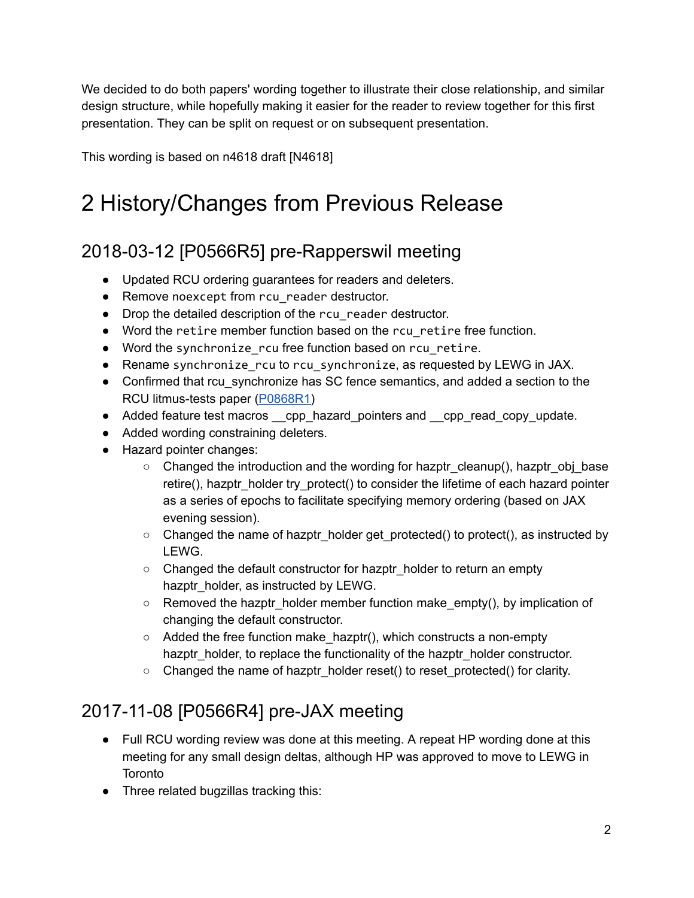We decided to do both papers' wording together to illustrate their close relationship, and similar design structure, while hopefully making it easier for the reader to review together for this first presentation. They can be split on request or on subsequent presentation.

<span id="page-1-0"></span>This wording is based on n4618 draft [N4618]

## 2 History/Changes from Previous Release

### 2018-03-12 [P0566R5] pre-Rapperswil meeting

- Updated RCU ordering guarantees for readers and deleters.
- Remove noexcept from rcu\_reader destructor.
- Drop the detailed description of the rcu reader destructor.
- Word the retire member function based on the rcu\_retire free function.
- Word the synchronize\_rcu free function based on rcu\_retire.
- Rename synchronize rcu to rcu synchronize, as requested by LEWG in JAX.
- Confirmed that rcu synchronize has SC fence semantics, and added a section to the RCU litmus-tests paper [\(P0868R1](http://www.open-std.org/jtc1/sc22/wg21/docs/papers/2018/p0868r1.pdf))
- Added feature test macros \_\_cpp\_hazard\_pointers and \_\_cpp\_read\_copy\_update.
- Added wording constraining deleters.
- Hazard pointer changes:
	- Changed the introduction and the wording for hazptr\_cleanup(), hazptr\_obj\_base retire(), hazptr\_holder try\_protect() to consider the lifetime of each hazard pointer as a series of epochs to facilitate specifying memory ordering (based on JAX evening session).
	- Changed the name of hazptr\_holder get\_protected() to protect(), as instructed by LEWG.
	- Changed the default constructor for hazptr holder to return an empty hazptr\_holder, as instructed by LEWG.
	- Removed the hazptr\_holder member function make\_empty(), by implication of changing the default constructor.
	- $\circ$  Added the free function make hazptr(), which constructs a non-empty hazptr\_holder, to replace the functionality of the hazptr\_holder constructor.
	- Changed the name of hazptr\_holder reset() to reset\_protected() for clarity.

### 2017-11-08 [P0566R4] pre-JAX meeting

- Full RCU wording review was done at this meeting. A repeat HP wording done at this meeting for any small design deltas, although HP was approved to move to LEWG in **Toronto**
- Three related bugzillas tracking this: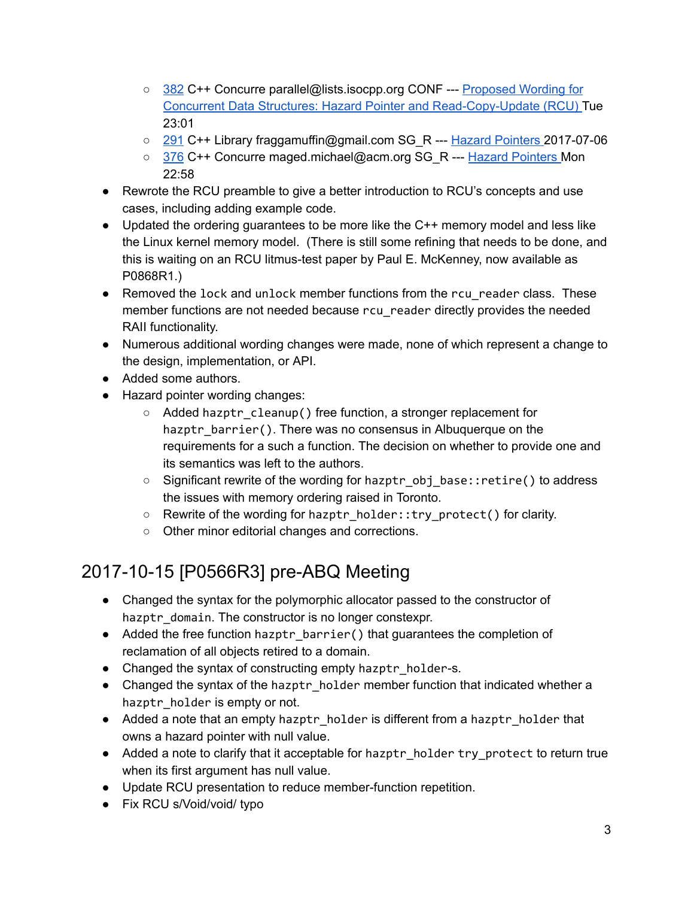- [382](https://issues.isocpp.org/show_bug.cgi?id=382) C++ Concurre parallel@lists.isocpp.org CONF --- [Proposed](https://issues.isocpp.org/show_bug.cgi?id=382) Wording for Concurrent Data Structures: Hazard Pointer and Read-Copy-Update (RCU) Tue 23:01
- [291](https://issues.isocpp.org/show_bug.cgi?id=291) C++ Library fraggamuffin@gmail.com SG\_R --- Hazard [Pointers](https://issues.isocpp.org/show_bug.cgi?id=291) 2017-07-06
- [376](https://issues.isocpp.org/show_bug.cgi?id=376) C++ Concurre maged.michael@acm.org SG\_R --- Hazard [Pointers](https://issues.isocpp.org/show_bug.cgi?id=376) Mon 22:58
- Rewrote the RCU preamble to give a better introduction to RCU's concepts and use cases, including adding example code.
- Updated the ordering quarantees to be more like the C++ memory model and less like the Linux kernel memory model. (There is still some refining that needs to be done, and this is waiting on an RCU litmus-test paper by Paul E. McKenney, now available as P0868R1.)
- Removed the lock and unlock member functions from the rcu\_reader class. These member functions are not needed because rcu\_reader directly provides the needed RAII functionality.
- Numerous additional wording changes were made, none of which represent a change to the design, implementation, or API.
- Added some authors.
- Hazard pointer wording changes:
	- Added hazptr\_cleanup() free function, a stronger replacement for hazptr\_barrier(). There was no consensus in Albuquerque on the requirements for a such a function. The decision on whether to provide one and its semantics was left to the authors.
	- Significant rewrite of the wording for hazptr\_obj\_base::retire() to address the issues with memory ordering raised in Toronto.
	- Rewrite of the wording for hazptr\_holder::try\_protect() for clarity.
	- Other minor editorial changes and corrections.

### 2017-10-15 [P0566R3] pre-ABQ Meeting

- Changed the syntax for the polymorphic allocator passed to the constructor of hazptr\_domain. The constructor is no longer constexpr.
- Added the free function hazptr\_barrier() that guarantees the completion of reclamation of all objects retired to a domain.
- Changed the syntax of constructing empty hazptr holder-s.
- Changed the syntax of the hazptr\_holder member function that indicated whether a hazptr holder is empty or not.
- Added a note that an empty hazptr\_holder is different from a hazptr\_holder that owns a hazard pointer with null value.
- Added a note to clarify that it acceptable for hazptr\_holder try\_protect to return true when its first argument has null value.
- Update RCU presentation to reduce member-function repetition.
- Fix RCU s/Void/void/ typo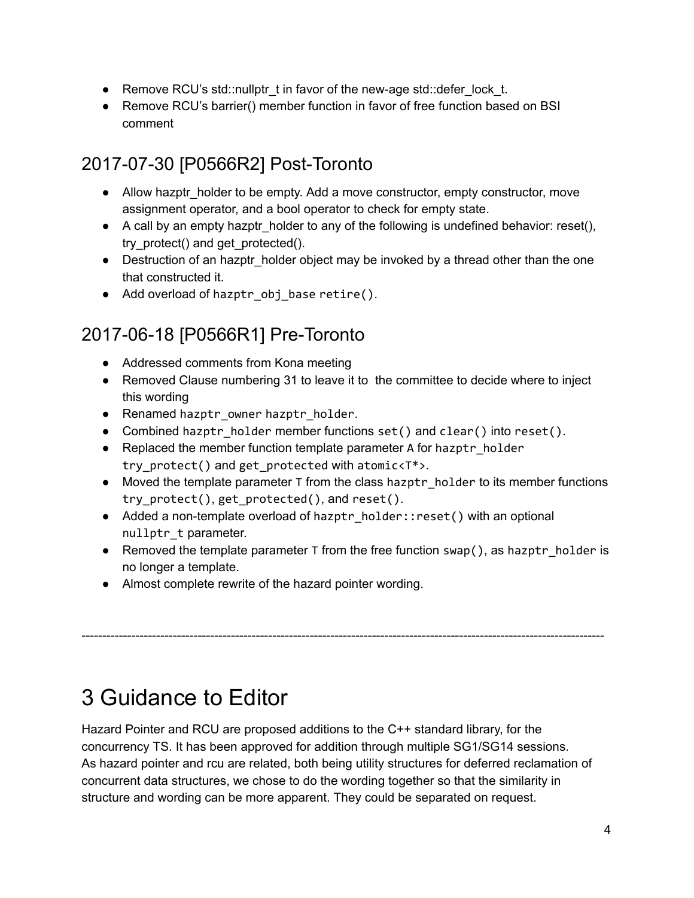- Remove RCU's std::nullptr\_t in favor of the new-age std::defer\_lock\_t.
- Remove RCU's barrier() member function in favor of free function based on BSI comment

### 2017-07-30 [P0566R2] Post-Toronto

- Allow hazptr\_holder to be empty. Add a move constructor, empty constructor, move assignment operator, and a bool operator to check for empty state.
- $\bullet$  A call by an empty hazptr holder to any of the following is undefined behavior: reset(), try\_protect() and get\_protected().
- Destruction of an hazptr\_holder object may be invoked by a thread other than the one that constructed it.
- Add overload of hazptr obj base retire().

### 2017-06-18 [P0566R1] Pre-Toronto

- Addressed comments from Kona meeting
- Removed Clause numbering 31 to leave it to the committee to decide where to inject this wording
- Renamed hazptr\_owner hazptr\_holder.
- Combined hazptr holder member functions set() and clear() into reset().
- Replaced the member function template parameter A for hazptr holder try\_protect() and get\_protected with atomic<T\*>.
- Moved the template parameter T from the class hazptr holder to its member functions try\_protect(), get\_protected(), and reset().
- Added a non-template overload of hazptr\_holder::reset() with an optional nullptr t parameter.
- Removed the template parameter  $T$  from the free function swap(), as hazptr holder is no longer a template.

● Almost complete rewrite of the hazard pointer wording.

## <span id="page-3-0"></span>3 Guidance to Editor

Hazard Pointer and RCU are proposed additions to the C++ standard library, for the concurrency TS. It has been approved for addition through multiple SG1/SG14 sessions. As hazard pointer and rcu are related, both being utility structures for deferred reclamation of concurrent data structures, we chose to do the wording together so that the similarity in structure and wording can be more apparent. They could be separated on request.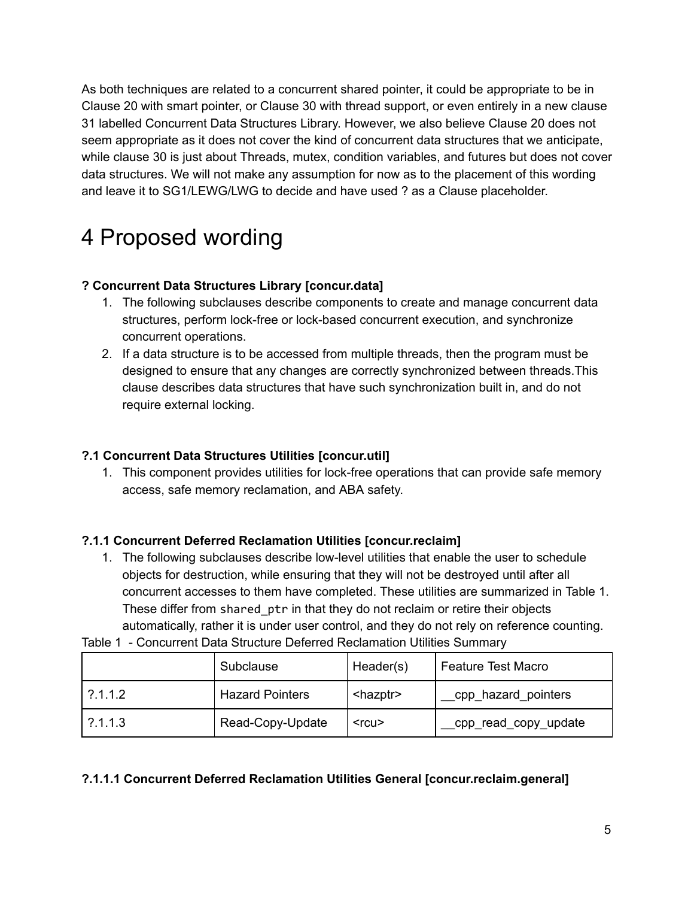As both techniques are related to a concurrent shared pointer, it could be appropriate to be in Clause 20 with smart pointer, or Clause 30 with thread support, or even entirely in a new clause 31 labelled Concurrent Data Structures Library. However, we also believe Clause 20 does not seem appropriate as it does not cover the kind of concurrent data structures that we anticipate, while clause 30 is just about Threads, mutex, condition variables, and futures but does not cover data structures. We will not make any assumption for now as to the placement of this wording and leave it to SG1/LEWG/LWG to decide and have used ? as a Clause placeholder.

## <span id="page-4-0"></span>4 Proposed wording

#### **? Concurrent Data Structures Library [concur.data]**

- 1. The following subclauses describe components to create and manage concurrent data structures, perform lock-free or lock-based concurrent execution, and synchronize concurrent operations.
- 2. If a data structure is to be accessed from multiple threads, then the program must be designed to ensure that any changes are correctly synchronized between threads.This clause describes data structures that have such synchronization built in, and do not require external locking.

#### **?.1 Concurrent Data Structures Utilities [concur.util]**

1. This component provides utilities for lock-free operations that can provide safe memory access, safe memory reclamation, and ABA safety.

#### **?.1.1 Concurrent Deferred Reclamation Utilities [concur.reclaim]**

1. The following subclauses describe low-level utilities that enable the user to schedule objects for destruction, while ensuring that they will not be destroyed until after all concurrent accesses to them have completed. These utilities are summarized in Table 1. These differ from shared ptr in that they do not reclaim or retire their objects automatically, rather it is under user control, and they do not rely on reference counting.

| Table 1 - Concurrent Data Structure Deferred Reclamation Utilities Summary |  |  |
|----------------------------------------------------------------------------|--|--|
|----------------------------------------------------------------------------|--|--|

|        | Subclause              | Header(s)         | <b>Feature Test Macro</b> |
|--------|------------------------|-------------------|---------------------------|
| ?1.1.2 | <b>Hazard Pointers</b> | <hazptr></hazptr> | cpp hazard pointers       |
| ?1.1.3 | Read-Copy-Update       | $<$ rcu $>$       | cpp_read_copy_update      |

#### **?.1.1.1 Concurrent Deferred Reclamation Utilities General [concur.reclaim.general]**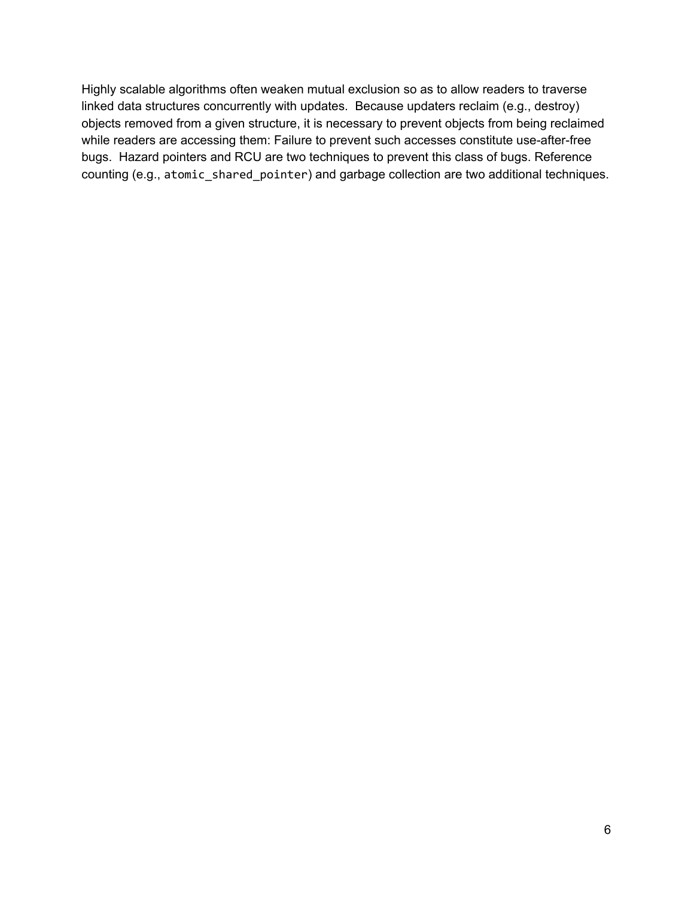Highly scalable algorithms often weaken mutual exclusion so as to allow readers to traverse linked data structures concurrently with updates. Because updaters reclaim (e.g., destroy) objects removed from a given structure, it is necessary to prevent objects from being reclaimed while readers are accessing them: Failure to prevent such accesses constitute use-after-free bugs. Hazard pointers and RCU are two techniques to prevent this class of bugs. Reference counting (e.g., atomic\_shared\_pointer) and garbage collection are two additional techniques.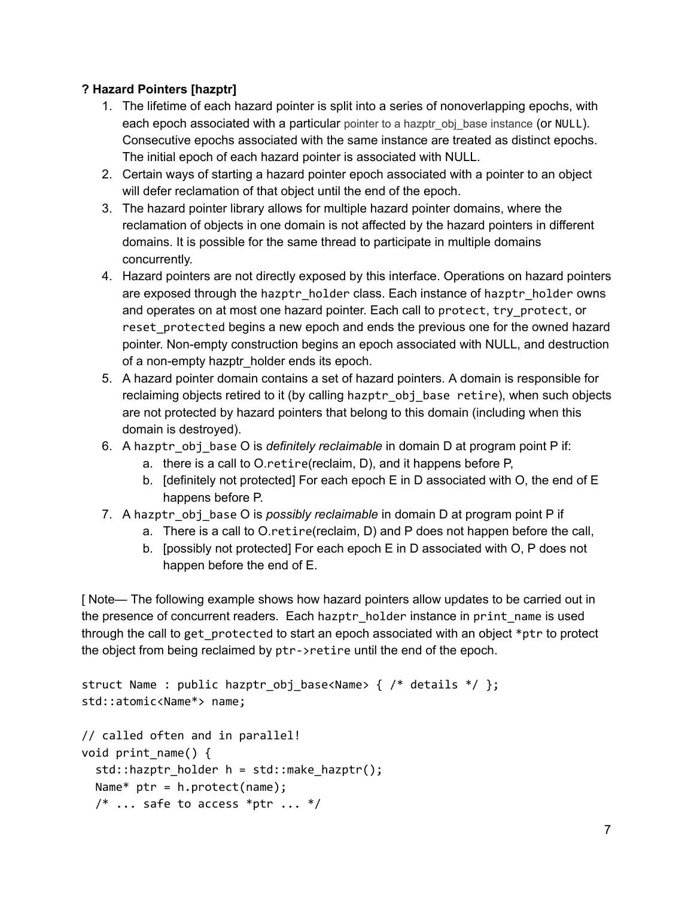#### **? Hazard Pointers [hazptr]**

- 1. The lifetime of each hazard pointer is split into a series of nonoverlapping epochs, with each epoch associated with a particular pointer to a hazptr obj base instance (or NULL). Consecutive epochs associated with the same instance are treated as distinct epochs. The initial epoch of each hazard pointer is associated with NULL.
- 2. Certain ways of starting a hazard pointer epoch associated with a pointer to an object will defer reclamation of that object until the end of the epoch.
- 3. The hazard pointer library allows for multiple hazard pointer domains, where the reclamation of objects in one domain is not affected by the hazard pointers in different domains. It is possible for the same thread to participate in multiple domains concurrently.
- 4. Hazard pointers are not directly exposed by this interface. Operations on hazard pointers are exposed through the hazptr\_holder class. Each instance of hazptr\_holder owns and operates on at most one hazard pointer. Each call to protect, try\_protect, or reset protected begins a new epoch and ends the previous one for the owned hazard pointer. Non-empty construction begins an epoch associated with NULL, and destruction of a non-empty hazptr\_holder ends its epoch.
- 5. A hazard pointer domain contains a set of hazard pointers. A domain is responsible for reclaiming objects retired to it (by calling hazptr\_obj\_base retire), when such objects are not protected by hazard pointers that belong to this domain (including when this domain is destroyed).
- 6. A hazptr\_obj\_base O is *definitely reclaimable* in domain D at program point P if:
	- a. there is a call to O.retire(reclaim, D), and it happens before P,
	- b. [definitely not protected] For each epoch E in D associated with O, the end of E happens before P.
- 7. A hazptr\_obj\_base O is *possibly reclaimable* in domain D at program point P if
	- a. There is a call to O.retire(reclaim, D) and P does not happen before the call,
	- b. [possibly not protected] For each epoch E in D associated with O, P does not happen before the end of E.

[ Note— The following example shows how hazard pointers allow updates to be carried out in the presence of concurrent readers. Each hazptr\_holder instance in print\_name is used through the call to get protected to start an epoch associated with an object  $*$ ptr to protect the object from being reclaimed by ptr->retire until the end of the epoch.

```
struct Name : public hazptr_obj_base<Name> { /* details */ };
std::atomic<Name*> name;
// called often and in parallel!
void print_name() {
  std::hazptr_holder h = std::make_hazptr();
  Name* ptr = h.protect(name);/* \ldots safe to access *ptr ... */
```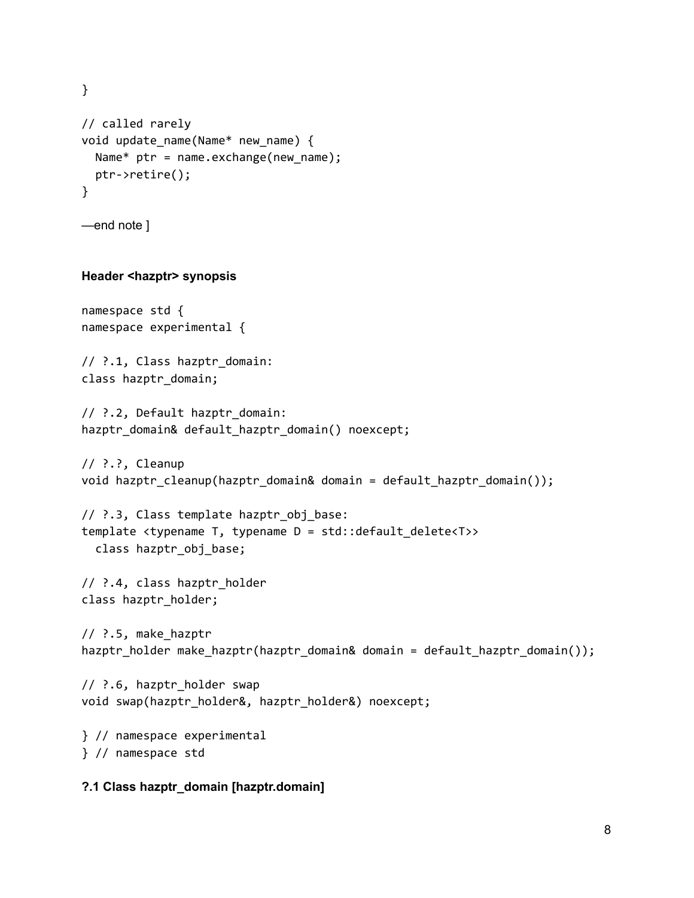} // called rarely void update\_name(Name\* new\_name) { Name\* ptr = name.exchange(new\_name); ptr‑>retire(); }

—end note ]

#### **Header <hazptr>** synopsis

```
namespace std {
namespace experimental {
```
// ?.1, Class hazptr\_domain: class hazptr\_domain;

```
// ?.2, Default hazptr_domain:
hazptr_domain& default_hazptr_domain() noexcept;
```

```
// ?.?, Cleanup
void hazptr_cleanup(hazptr_domain& domain = default_hazptr_domain());
```
// ?.3, Class template hazptr\_obj\_base: template <typename T, typename D = std::default\_delete<T>> class hazptr\_obj\_base;

// ?.4, class hazptr\_holder class hazptr\_holder;

```
// ?.5, make_hazptr
hazptr_holder make_hazptr(hazptr_domain& domain = default_hazptr_domain());
```

```
// ?.6, hazptr_holder swap
void swap(hazptr_holder&, hazptr_holder&) noexcept;
```

```
} // namespace experimental
} // namespace std
```
#### **?.1 Class hazptr\_domain [hazptr.domain]**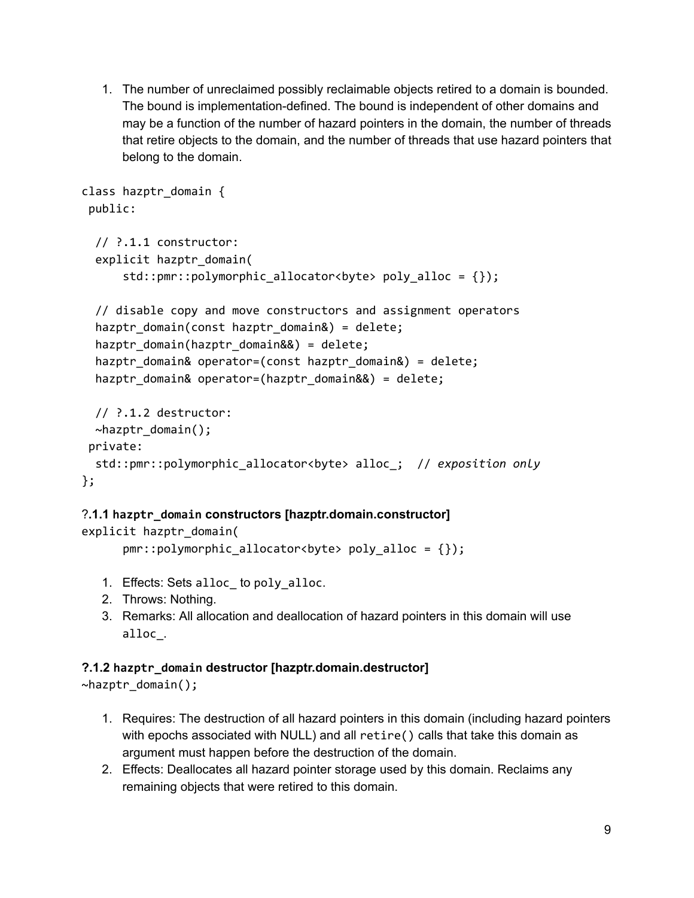1. The number of unreclaimed possibly reclaimable objects retired to a domain is bounded. The bound is implementation-defined. The bound is independent of other domains and may be a function of the number of hazard pointers in the domain, the number of threads that retire objects to the domain, and the number of threads that use hazard pointers that belong to the domain.

```
class hazptr_domain {
 public:
  // ?.1.1 constructor:
  explicit hazptr_domain(
      std::pmr::polymorphic_allocator<br/>byte> poly_alloc = {});
  // disable copy and move constructors and assignment operators
  hazptr_domain(const hazptr_domain&) = delete;
  hazptr_domain(hazptr_domain&&) = delete;
  hazptr_domain& operator=(const hazptr_domain&) = delete;
  hazptr_domain& operator=(hazptr_domain&&) = delete;
  // ?.1.2 destructor:
  ~hazptr_domain();
 private:
  std::pmr::polymorphic_allocator<byte> alloc_; // exposition only
};
```
#### ?**.1.1 hazptr\_domain constructors [hazptr.domain.constructor]**

```
explicit hazptr_domain(
```

```
pm:polymorphic_{alloc}iocator<br/>the> poly_alloc = {});
```
- 1. Effects: Sets alloc\_ to poly\_alloc.
- 2. Throws: Nothing.
- 3. Remarks: All allocation and deallocation of hazard pointers in this domain will use alloc\_.

#### **?.1.2 hazptr\_domain destructor [hazptr.domain.destructor]**

~hazptr\_domain();

- 1. Requires: The destruction of all hazard pointers in this domain (including hazard pointers with epochs associated with NULL) and all retire() calls that take this domain as argument must happen before the destruction of the domain.
- 2. Effects: Deallocates all hazard pointer storage used by this domain. Reclaims any remaining objects that were retired to this domain.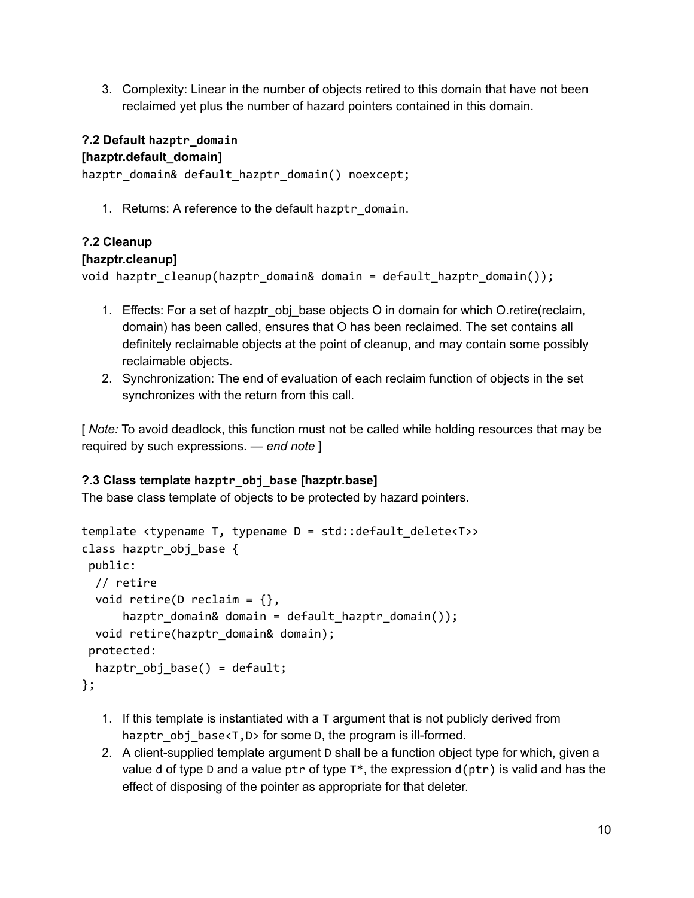3. Complexity: Linear in the number of objects retired to this domain that have not been reclaimed yet plus the number of hazard pointers contained in this domain.

### **?.2 Default hazptr\_domain**

#### **[hazptr.default\_domain]**

hazptr\_domain& default\_hazptr\_domain() noexcept;

1. Returns: A reference to the default hazptr\_domain.

#### **?.2 Cleanup**

#### **[hazptr.cleanup]**

void hazptr cleanup(hazptr\_domain& domain = default hazptr\_domain());

- 1. Effects: For a set of hazptr\_obj\_base objects O in domain for which O.retire(reclaim, domain) has been called, ensures that O has been reclaimed. The set contains all definitely reclaimable objects at the point of cleanup, and may contain some possibly reclaimable objects.
- 2. Synchronization: The end of evaluation of each reclaim function of objects in the set synchronizes with the return from this call.

[ *Note:* To avoid deadlock, this function must not be called while holding resources that may be required by such expressions. — *end note* ]

#### **?.3 Class template hazptr\_obj\_base [hazptr.base]**

The base class template of objects to be protected by hazard pointers.

```
template <typename T, typename D = std::default_delete<T>>
class hazptr_obj_base {
 public:
 // retire
  void retire(D reclaim = \{\},
      hazptr_domain& domain = default_hazptr_domain());
  void retire(hazptr_domain& domain);
 protected:
  hazptr_obj_base() = default;
};
```
- 1. If this template is instantiated with a T argument that is not publicly derived from hazptr\_obj\_base<T,D> for some D, the program is ill-formed.
- 2. A client-supplied template argument D shall be a function object type for which, given a value d of type D and a value ptr of type  $T^*$ , the expression  $d(ptr)$  is valid and has the effect of disposing of the pointer as appropriate for that deleter.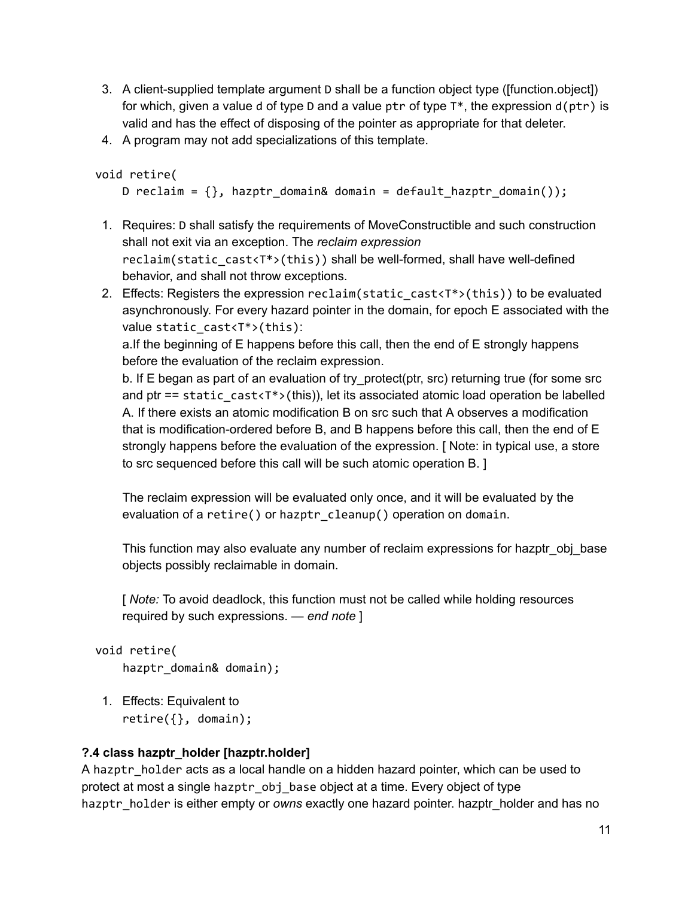- 3. A client-supplied template argument D shall be a function object type ([function.object]) for which, given a value d of type D and a value ptr of type  $T^*$ , the expression  $d(ptr)$  is valid and has the effect of disposing of the pointer as appropriate for that deleter.
- 4. A program may not add specializations of this template.

```
void retire(
```

```
D reclaim = \{\}, hazptr_domain& domain = default_hazptr_domain());
```
- 1. Requires: D shall satisfy the requirements of MoveConstructible and such construction shall not exit via an exception. The *reclaim expression* reclaim(static\_cast<T\*>(this)) shall be well-formed, shall have well-defined behavior, and shall not throw exceptions.
- 2. Effects: Registers the expression reclaim(static\_cast<T\*>(this)) to be evaluated asynchronously. For every hazard pointer in the domain, for epoch E associated with the value static  $cast < T^*$  (this):

a.If the beginning of E happens before this call, then the end of E strongly happens before the evaluation of the reclaim expression.

b. If E began as part of an evaluation of try\_protect(ptr, src) returning true (for some src and ptr == static\_cast<T\*>(this)), let its associated atomic load operation be labelled A. If there exists an atomic modification B on src such that A observes a modification that is modification-ordered before B, and B happens before this call, then the end of  $E$ strongly happens before the evaluation of the expression. [ Note: in typical use, a store to src sequenced before this call will be such atomic operation B. ]

The reclaim expression will be evaluated only once, and it will be evaluated by the evaluation of a retire() or hazptr\_cleanup() operation on domain.

This function may also evaluate any number of reclaim expressions for hazptr\_obj\_base objects possibly reclaimable in domain.

[ *Note:* To avoid deadlock, this function must not be called while holding resources required by such expressions. — *end note* ]

```
void retire(
```

```
hazptr_domain& domain);
```
1. Effects: Equivalent to retire({}, domain);

#### **?.4 class hazptr\_holder [hazptr.holder]**

A hazptr holder acts as a local handle on a hidden hazard pointer, which can be used to protect at most a single hazptr\_obj\_base object at a time. Every object of type hazptr\_holder is either empty or *owns* exactly one hazard pointer. hazptr\_holder and has no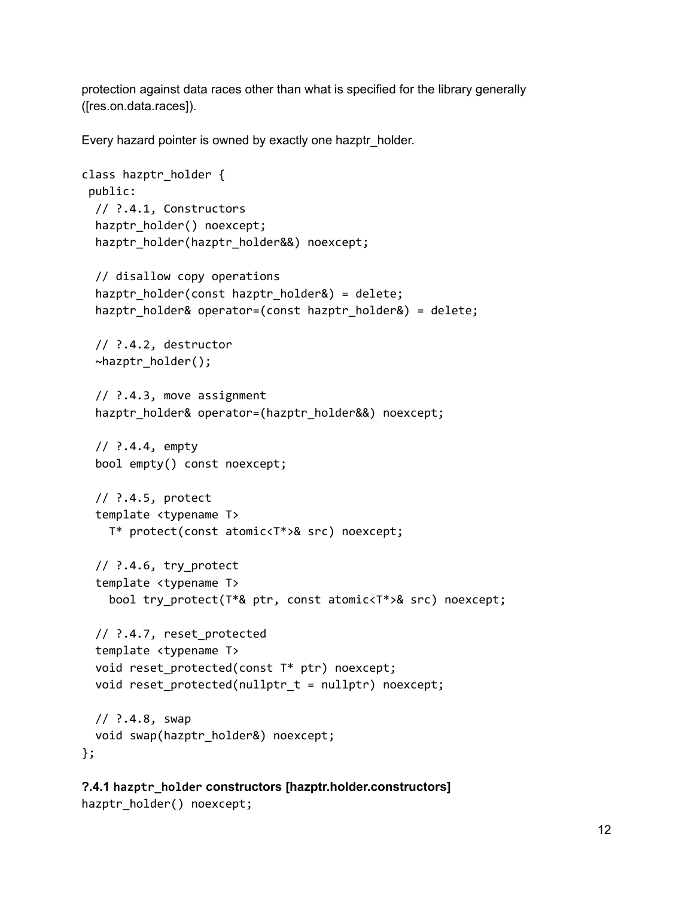protection against data races other than what is specified for the library generally ([res.on.data.races]).

Every hazard pointer is owned by exactly one hazptr\_holder.

```
class hazptr_holder {
 public:
 // ?.4.1, Constructors
  hazptr_holder() noexcept;
  hazptr_holder(hazptr_holder&&) noexcept;
  // disallow copy operations
  hazptr_holder(const hazptr_holder&) = delete;
  hazptr_holder& operator=(const hazptr_holder&) = delete;
  // ?.4.2, destructor
  ~hazptr_holder();
  // ?.4.3, move assignment
  hazptr holder& operator=(hazptr holder&&) noexcept;
  // ?.4.4, empty
  bool empty() const noexcept;
  // ?.4.5, protect
  template <typename T>
   T* protect(const atomic<T*>& src) noexcept;
  // ?.4.6, try_protect
  template <typename T>
    bool try_protect(T*& ptr, const atomic<T*>& src) noexcept;
  // ?.4.7, reset_protected
  template <typename T>
  void reset_protected(const T* ptr) noexcept;
  void reset_protected(nullptr_t = nullptr) noexcept;
 // ?.4.8, swap
  void swap(hazptr_holder&) noexcept;
};
```

```
?.4.1 hazptr_holder constructors [hazptr.holder.constructors]
hazptr_holder() noexcept;
```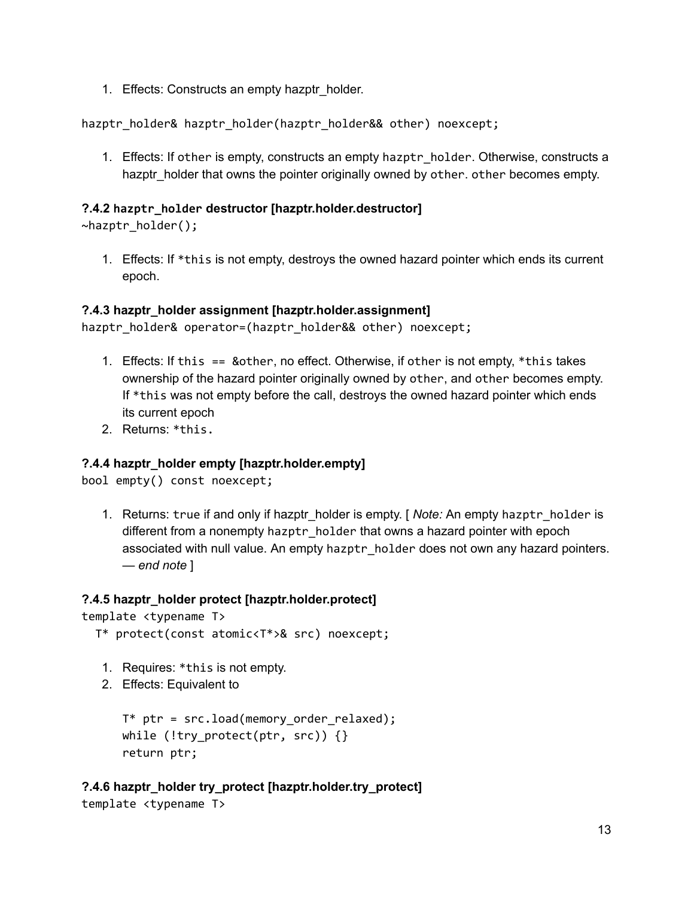1. Effects: Constructs an empty hazptr\_holder.

hazptr\_holder& hazptr\_holder(hazptr\_holder&& other) noexcept;

1. Effects: If other is empty, constructs an empty hazptr holder. Otherwise, constructs a hazptr\_holder that owns the pointer originally owned by other. other becomes empty.

#### **?.4.2 hazptr\_holder destructor [hazptr.holder.destructor]**

~hazptr\_holder();

1. Effects: If \*this is not empty, destroys the owned hazard pointer which ends its current epoch.

#### **?.4.3 hazptr\_holder assignment [hazptr.holder.assignment]**

hazptr holder& operator=(hazptr\_holder&& other) noexcept;

- 1. Effects: If this == &other, no effect. Otherwise, if other is not empty, \*this takes ownership of the hazard pointer originally owned by other, and other becomes empty. If \*this was not empty before the call, destroys the owned hazard pointer which ends its current epoch
- 2. Returns: \*this.

#### **?.4.4 hazptr\_holder empty [hazptr.holder.empty]**

bool empty() const noexcept;

1. Returns: true if and only if hazptr\_holder is empty. [ *Note:* An empty hazptr\_holder is different from a nonempty hazptr holder that owns a hazard pointer with epoch associated with null value. An empty hazptr\_holder does not own any hazard pointers. — *end note* ]

#### **?.4.5 hazptr\_holder protect [hazptr.holder.protect]**

```
template <typename T>
```
- T\* protect(const atomic<T\*>& src) noexcept;
	- 1. Requires: \*this is not empty.
- 2. Effects: Equivalent to

```
T* ptr = src.load(memory_order_relaxed);
while (!try_protect(ptr, src)) {}
return ptr;
```
#### **?.4.6 hazptr\_holder try\_protect [hazptr.holder.try\_protect]** template <typename T>

```
13
```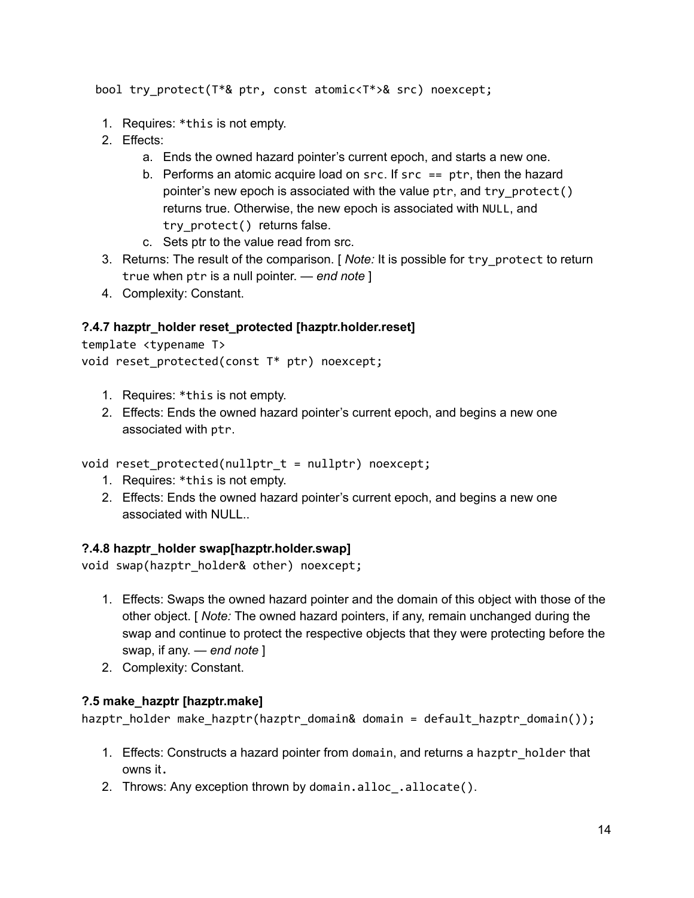bool try\_protect(T\*& ptr, const atomic<T\*>& src) noexcept;

- 1. Requires: \*this is not empty.
- 2. Effects:
	- a. Ends the owned hazard pointer's current epoch, and starts a new one.
	- b. Performs an atomic acquire load on  $src$ . If  $src == ptr$ , then the hazard pointer's new epoch is associated with the value  $ptr$ , and  $try$  protect() returns true. Otherwise, the new epoch is associated with NULL, and try protect() returns false.
	- c. Sets ptr to the value read from src.
- 3. Returns: The result of the comparison. [ *Note:* It is possible for try\_protect to return true when ptr is a null pointer. — *end note* ]
- 4. Complexity: Constant.

#### **?.4.7 hazptr\_holder reset\_protected [hazptr.holder.reset]**

```
template <typename T>
```

```
void reset_protected(const T* ptr) noexcept;
```
- 1. Requires: \*this is not empty.
- 2. Effects: Ends the owned hazard pointer's current epoch, and begins a new one associated with ptr.

void reset\_protected(nullptr\_t = nullptr) noexcept;

- 1. Requires: \*this is not empty.
- 2. Effects: Ends the owned hazard pointer's current epoch, and begins a new one associated with NULL..

#### **?.4.8 hazptr\_holder swap[hazptr.holder.swap]**

```
void swap(hazptr_holder& other) noexcept;
```
- 1. Effects: Swaps the owned hazard pointer and the domain of this object with those of the other object. [ *Note:* The owned hazard pointers, if any, remain unchanged during the swap and continue to protect the respective objects that they were protecting before the swap, if any. — *end note* ]
- 2. Complexity: Constant.

#### **?.5 make\_hazptr [hazptr.make]**

hazptr\_holder make\_hazptr(hazptr\_domain& domain = default\_hazptr\_domain());

- 1. Effects: Constructs a hazard pointer from domain, and returns a hazptr holder that owns it.
- 2. Throws: Any exception thrown by domain.alloc.allocate().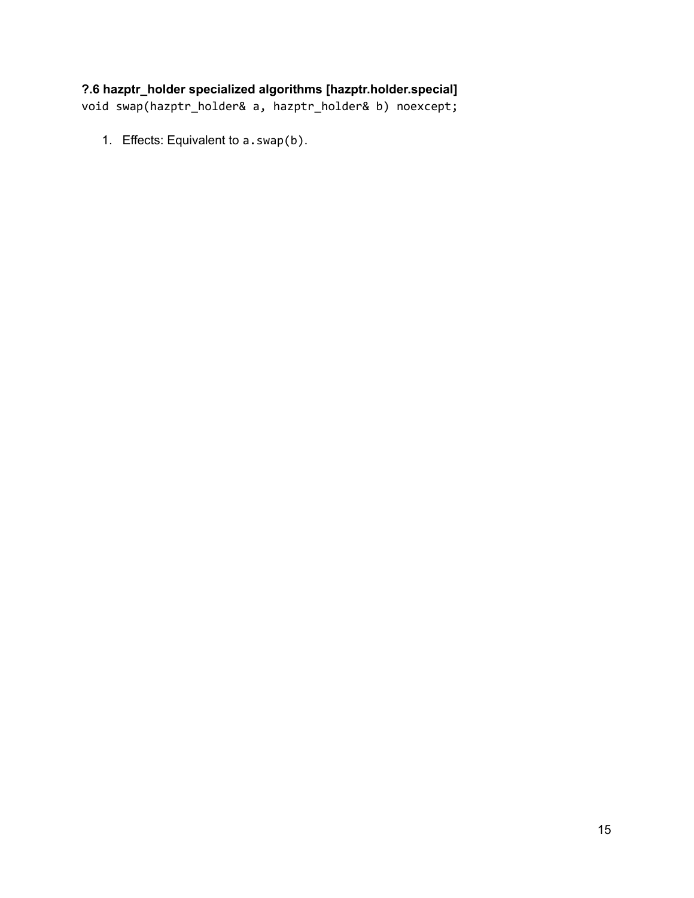#### **?.6 hazptr\_holder specialized algorithms [hazptr.holder.special]**

void swap(hazptr\_holder& a, hazptr\_holder& b) noexcept;

1. Effects: Equivalent to a.swap(b).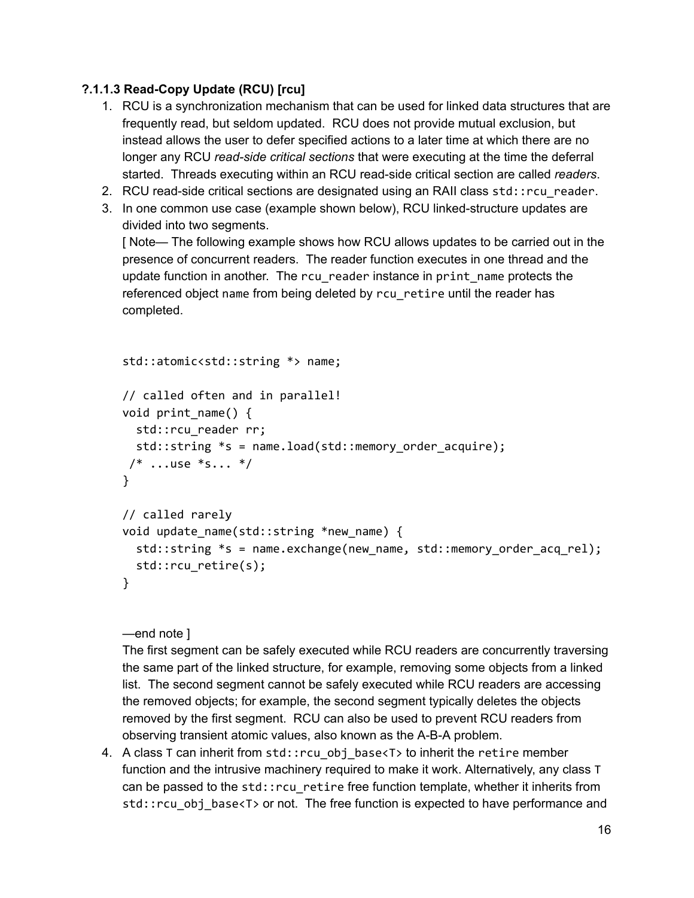#### **?.1.1.3 ReadCopy Update (RCU) [rcu]**

- 1. RCU is a synchronization mechanism that can be used for linked data structures that are frequently read, but seldom updated. RCU does not provide mutual exclusion, but instead allows the user to defer specified actions to a later time at which there are no longer any RCU *read-side critical sections* that were executing at the time the deferral started. Threads executing within an RCU read-side critical section are called *readers*.
- 2. RCU read-side critical sections are designated using an RAII class  $std:recu$  reader.
- 3. In one common use case (example shown below), RCU linked-structure updates are divided into two segments.

[ Note— The following example shows how RCU allows updates to be carried out in the presence of concurrent readers. The reader function executes in one thread and the update function in another. The rcu reader instance in print name protects the referenced object name from being deleted by rcu\_retire until the reader has completed.

```
std::atomic<std::string *> name;
// called often and in parallel!
void print_name() {
  std::rcu_reader rr;
  std::string *s = name.load(std::memory_order_acquire);
/* \dotsuse *s... */}
// called rarely
void update name(std::string *new name) {
  std::string *s = name.exchange(new_name, std::memory_order_acq_rel);
  std::rcu retire(s);
}
```
#### —end note ]

The first segment can be safely executed while RCU readers are concurrently traversing the same part of the linked structure, for example, removing some objects from a linked list. The second segment cannot be safely executed while RCU readers are accessing the removed objects; for example, the second segment typically deletes the objects removed by the first segment. RCU can also be used to prevent RCU readers from observing transient atomic values, also known as the A-B-A problem.

4. A class T can inherit from std::rcu\_obj\_base<T> to inherit the retire member function and the intrusive machinery required to make it work. Alternatively, any class T can be passed to the std::rcu\_retire free function template, whether it inherits from std::rcu\_obj\_base<T> or not. The free function is expected to have performance and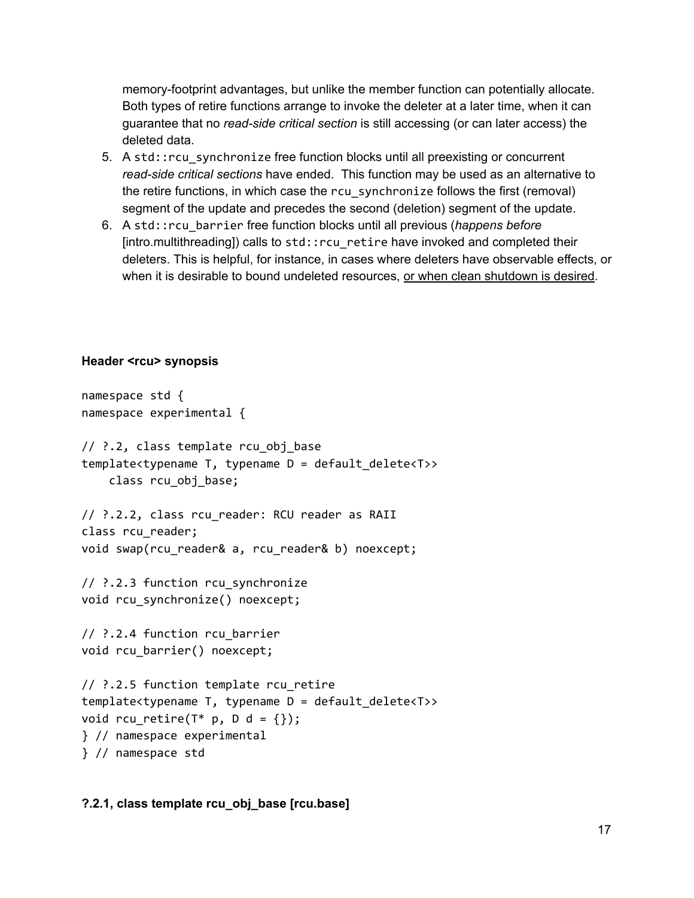memory-footprint advantages, but unlike the member function can potentially allocate. Both types of retire functions arrange to invoke the deleter at a later time, when it can guarantee that no *readside critical section* is still accessing (or can later access) the deleted data.

- 5. A std:: rcu synchronize free function blocks until all preexisting or concurrent *read-side critical sections* have ended. This function may be used as an alternative to the retire functions, in which case the rcu\_synchronize follows the first (removal) segment of the update and precedes the second (deletion) segment of the update.
- 6. A std::rcu\_barrier free function blocks until all previous (*happens before* [intro.multithreading]) calls to std::rcu\_retire have invoked and completed their deleters. This is helpful, for instance, in cases where deleters have observable effects, or when it is desirable to bound undeleted resources, or when clean shutdown is desired.

#### **Header <rcu> synopsis**

```
namespace std {
namespace experimental {
// ?.2, class template rcu_obj_base
template<typename T, typename D = default_delete<T>>
    class rcu_obj_base;
// ?.2.2, class rcu_reader: RCU reader as RAII
class rcu reader;
void swap(rcu_reader& a, rcu_reader& b) noexcept;
// ?.2.3 function rcu_synchronize
void rcu_synchronize() noexcept;
// ?.2.4 function rcu_barrier
void rcu_barrier() noexcept;
// ?.2.5 function template rcu_retire
template<typename T, typename D = default_delete<T>>
void rcu_retire(T^* p, D d = {});
} // namespace experimental
} // namespace std
```
#### **?.2.1, class template rcu\_obj\_base [rcu.base]**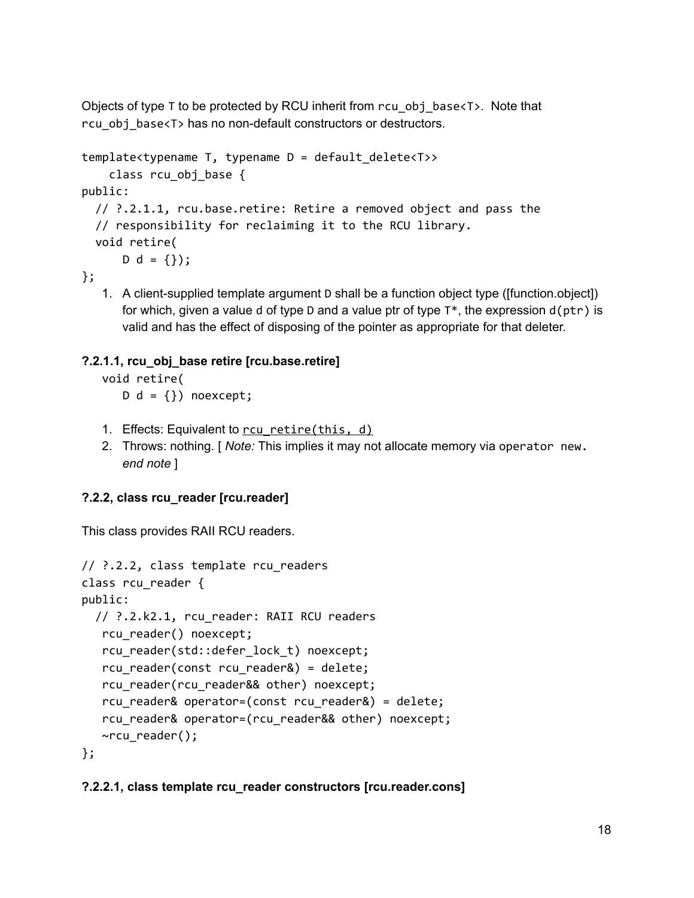Objects of type T to be protected by RCU inherit from rcu obj base $\langle T \rangle$ . Note that rcu\_obj\_base<T> has no nondefault constructors or destructors.

```
template<typename T, typename D = default_delete<T>>
    class rcu_obj_base {
public:
  // ?.2.1.1, rcu.base.retire: Retire a removed object and pass the
  // responsibility for reclaiming it to the RCU library.
  void retire(
      D d = \{\};
```
};

1. A client-supplied template argument D shall be a function object type ([function.object]) for which, given a value d of type D and a value ptr of type  $T^*$ , the expression  $d(ptr)$  is valid and has the effect of disposing of the pointer as appropriate for that deleter.

#### **?.2.1.1, rcu\_obj\_base retire [rcu.base.retire]**

void retire(  $D d = \{\}$ ) noexcept;

- 1. Effects: Equivalent to rcu retire(this, d)
- 2. Throws: nothing. [ *Note:* This implies it may not allocate memory via operator new. *end note* ]

#### **?.2.2, class rcu\_reader [rcu.reader]**

This class provides RAII RCU readers.

```
// ?.2.2, class template rcu_readers
class rcu_reader {
public:
  // ?.2.k2.1, rcu_reader: RAII RCU readers
   rcu_reader() noexcept;
   rcu reader(std::defer lock t) noexcept;
   rcu_reader(const rcu_reader&) = delete;
   rcu_reader(rcu_reader&& other) noexcept;
   rcu_reader& operator=(const rcu_reader&) = delete;
   rcu reader& operator=(rcu reader&& other) noexcept;
  ~rcu_reader();
};
```
#### **?.2.2.1, class template rcu\_reader constructors [rcu.reader.cons]**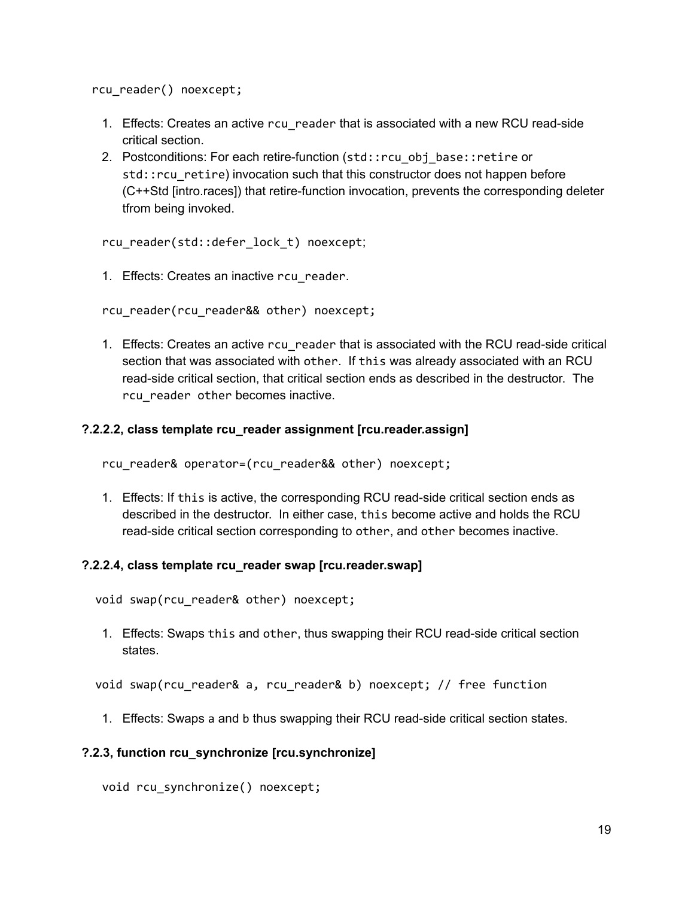rcu\_reader() noexcept;

- 1. Effects: Creates an active rcu\_reader that is associated with a new RCU read-side critical section.
- 2. Postconditions: For each retire-function (std::rcu\_obj\_base::retire or std:: rcu\_retire) invocation such that this constructor does not happen before (C++Std [intro.races]) that retire-function invocation, prevents the corresponding deleter tfrom being invoked.

rcu\_reader(std::defer\_lock\_t) noexcept;

1. Effects: Creates an inactive rcu reader.

rcu\_reader(rcu\_reader&& other) noexcept;

1. Effects: Creates an active rcu reader that is associated with the RCU read-side critical section that was associated with other. If this was already associated with an RCU read-side critical section, that critical section ends as described in the destructor. The rcu reader other becomes inactive.

#### **?.2.2.2, class template rcu\_reader assignment [rcu.reader.assign]**

rcu reader& operator=(rcu reader&& other) noexcept;

1. Effects: If this is active, the corresponding RCU read-side critical section ends as described in the destructor. In either case, this become active and holds the RCU read-side critical section corresponding to other, and other becomes inactive.

#### **?.2.2.4, class template rcu\_reader swap [rcu.reader.swap]**

void swap(rcu reader& other) noexcept;

1. Effects: Swaps this and other, thus swapping their RCU readside critical section states.

void swap(rcu\_reader& a, rcu\_reader& b) noexcept; // free function

1. Effects: Swaps a and b thus swapping their RCU readside critical section states.

#### **?.2.3, function rcu\_synchronize [rcu.synchronize]**

void rcu\_synchronize() noexcept;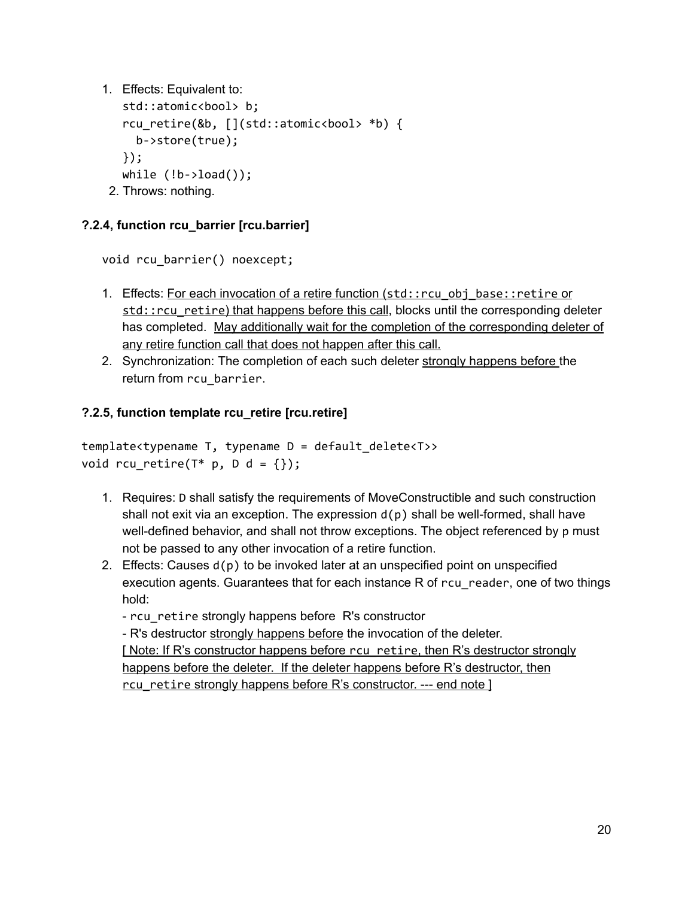1. Effects: Equivalent to:

```
std::atomic<bool> b;
  rcu_retire(&b, [](std::atomic<bool> *b) {
    b‑>store(true);
 });
 while (!b->load());
2. Throws: nothing.
```
#### **?.2.4, function rcu\_barrier [rcu.barrier]**

void rcu\_barrier() noexcept;

- 1. Effects: For each invocation of a retire function (std::rcu\_obj\_base::retire or std::rcu\_retire) that happens before this call, blocks until the corresponding deleter has completed. May additionally wait for the completion of the corresponding deleter of any retire function call that does not happen after this call.
- 2. Synchronization: The completion of each such deleter strongly happens before the return from rcu\_barrier.

#### **?.2.5, function template rcu\_retire [rcu.retire]**

template<typename T, typename D = default\_delete<T>> void rcu retire( $T^*$  p, D d = {});

- 1. Requires: D shall satisfy the requirements of MoveConstructible and such construction shall not exit via an exception. The expression  $d(p)$  shall be well-formed, shall have well-defined behavior, and shall not throw exceptions. The object referenced by  $p$  must not be passed to any other invocation of a retire function.
- 2. Effects: Causes  $d(p)$  to be invoked later at an unspecified point on unspecified execution agents. Guarantees that for each instance R of rcu\_reader, one of two things hold:

- rcu\_retire strongly happens before R's constructor

R's destructor strongly happens before the invocation of the deleter.

[ Note: If R's constructor happens before rcu\_retire, then R's destructor strongly happens before the deleter. If the deleter happens before R's destructor, then rcu retire strongly happens before R's constructor. --- end note ]